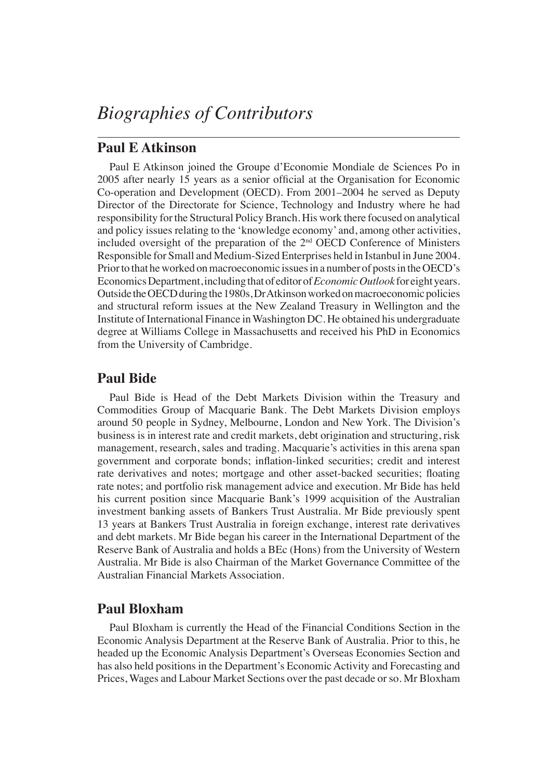# **Paul E Atkinson**

Paul E Atkinson joined the Groupe d'Economie Mondiale de Sciences Po in 2005 after nearly 15 years as a senior official at the Organisation for Economic Co-operation and Development (OECD). From 2001–2004 he served as Deputy Director of the Directorate for Science, Technology and Industry where he had responsibility for the Structural Policy Branch. His work there focused on analytical and policy issues relating to the 'knowledge economy' and, among other activities, included oversight of the preparation of the 2nd OECD Conference of Ministers Responsible for Small and Medium-Sized Enterprises held in Istanbul in June 2004. Prior to that he worked on macroeconomic issues in a number of posts in the OECD's Economics Department, including that of editor of *Economic Outlook* for eight years. Outside the OECD during the 1980s, Dr Atkinson worked on macroeconomic policies and structural reform issues at the New Zealand Treasury in Wellington and the Institute of International Finance in Washington DC. He obtained his undergraduate degree at Williams College in Massachusetts and received his PhD in Economics from the University of Cambridge.

# **Paul Bide**

Paul Bide is Head of the Debt Markets Division within the Treasury and Commodities Group of Macquarie Bank. The Debt Markets Division employs around 50 people in Sydney, Melbourne, London and New York. The Division's business is in interest rate and credit markets, debt origination and structuring, risk management, research, sales and trading. Macquarie's activities in this arena span government and corporate bonds; inflation-linked securities; credit and interest rate derivatives and notes; mortgage and other asset-backed securities; floating rate notes; and portfolio risk management advice and execution. Mr Bide has held his current position since Macquarie Bank's 1999 acquisition of the Australian investment banking assets of Bankers Trust Australia. Mr Bide previously spent 13 years at Bankers Trust Australia in foreign exchange, interest rate derivatives and debt markets. Mr Bide began his career in the International Department of the Reserve Bank of Australia and holds a BEc (Hons) from the University of Western Australia. Mr Bide is also Chairman of the Market Governance Committee of the Australian Financial Markets Association.

# **Paul Bloxham**

Paul Bloxham is currently the Head of the Financial Conditions Section in the Economic Analysis Department at the Reserve Bank of Australia. Prior to this, he headed up the Economic Analysis Department's Overseas Economies Section and has also held positions in the Department's Economic Activity and Forecasting and Prices, Wages and Labour Market Sections over the past decade or so. Mr Bloxham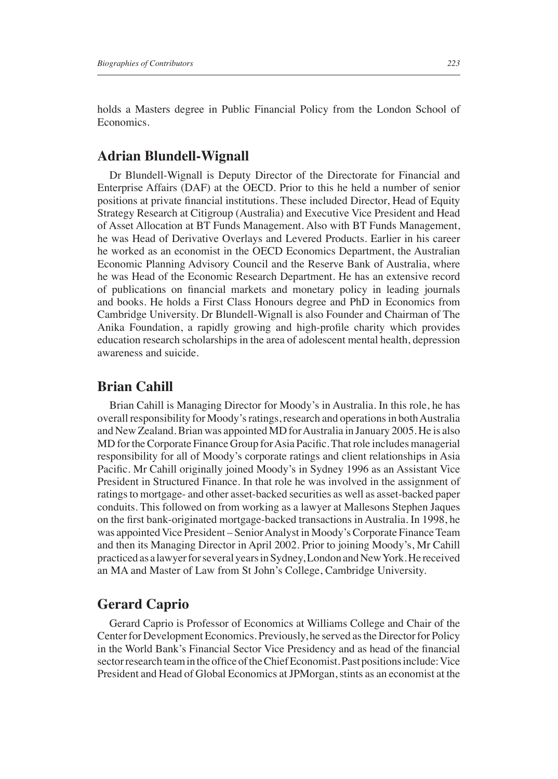holds a Masters degree in Public Financial Policy from the London School of Economics.

## **Adrian Blundell-Wignall**

Dr Blundell-Wignall is Deputy Director of the Directorate for Financial and Enterprise Affairs (DAF) at the OECD. Prior to this he held a number of senior positions at private financial institutions. These included Director, Head of Equity Strategy Research at Citigroup (Australia) and Executive Vice President and Head of Asset Allocation at BT Funds Management. Also with BT Funds Management, he was Head of Derivative Overlays and Levered Products. Earlier in his career he worked as an economist in the OECD Economics Department, the Australian Economic Planning Advisory Council and the Reserve Bank of Australia, where he was Head of the Economic Research Department. He has an extensive record of publications on financial markets and monetary policy in leading journals and books. He holds a First Class Honours degree and PhD in Economics from Cambridge University. Dr Blundell-Wignall is also Founder and Chairman of The Anika Foundation, a rapidly growing and high-profile charity which provides education research scholarships in the area of adolescent mental health, depression awareness and suicide.

#### **Brian Cahill**

Brian Cahill is Managing Director for Moody's in Australia. In this role, he has overall responsibility for Moody's ratings, research and operations in both Australia and New Zealand. Brian was appointed MD for Australia in January 2005. He is also MD for the Corporate Finance Group for Asia Pacific. That role includes managerial responsibility for all of Moody's corporate ratings and client relationships in Asia Pacific. Mr Cahill originally joined Moody's in Sydney 1996 as an Assistant Vice President in Structured Finance. In that role he was involved in the assignment of ratings to mortgage- and other asset-backed securities as well as asset-backed paper conduits. This followed on from working as a lawyer at Mallesons Stephen Jaques on the first bank-originated mortgage-backed transactions in Australia. In 1998, he was appointed Vice President – Senior Analyst in Moody's Corporate Finance Team and then its Managing Director in April 2002. Prior to joining Moody's, Mr Cahill practiced as a lawyer for several years in Sydney, London and New York. He received an MA and Master of Law from St John's College, Cambridge University.

### **Gerard Caprio**

Gerard Caprio is Professor of Economics at Williams College and Chair of the Center for Development Economics. Previously, he served as the Director for Policy in the World Bank's Financial Sector Vice Presidency and as head of the financial sector research team in the office of the Chief Economist. Past positions include: Vice President and Head of Global Economics at JPMorgan, stints as an economist at the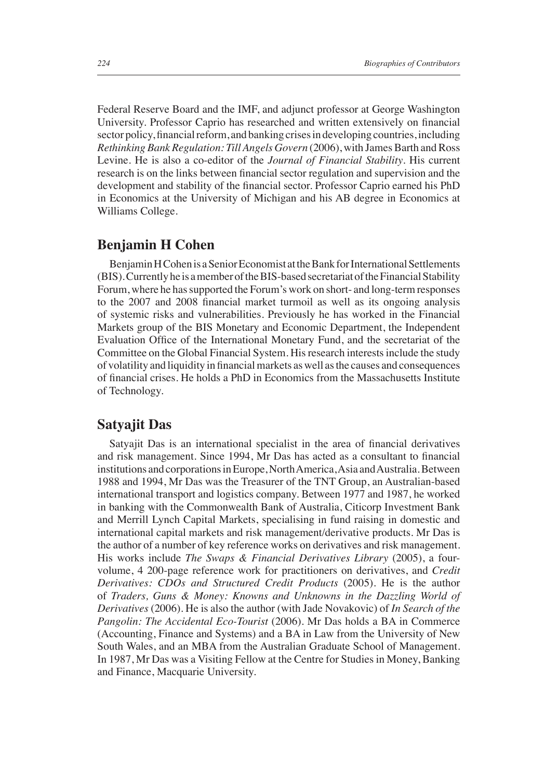Federal Reserve Board and the IMF, and adjunct professor at George Washington University. Professor Caprio has researched and written extensively on financial sector policy, financial reform, and banking crises in developing countries, including *Rethinking Bank Regulation: Till Angels Govern* (2006), with James Barth and Ross Levine. He is also a co-editor of the *Journal of Financial Stability*. His current research is on the links between financial sector regulation and supervision and the development and stability of the financial sector. Professor Caprio earned his PhD in Economics at the University of Michigan and his AB degree in Economics at Williams College.

### **Benjamin H Cohen**

Benjamin H Cohen is a Senior Economist at the Bank for International Settlements (BIS). Currently he is a member of the BIS-based secretariat of the Financial Stability Forum, where he has supported the Forum's work on short- and long-term responses to the 2007 and 2008 financial market turmoil as well as its ongoing analysis of systemic risks and vulnerabilities. Previously he has worked in the Financial Markets group of the BIS Monetary and Economic Department, the Independent Evaluation Office of the International Monetary Fund, and the secretariat of the Committee on the Global Financial System. His research interests include the study of volatility and liquidity in financial markets as well as the causes and consequences of financial crises. He holds a PhD in Economics from the Massachusetts Institute of Technology.

#### **Satyajit Das**

Satyajit Das is an international specialist in the area of financial derivatives and risk management. Since 1994, Mr Das has acted as a consultant to financial institutions and corporations in Europe, North America, Asia and Australia. Between 1988 and 1994, Mr Das was the Treasurer of the TNT Group, an Australian-based international transport and logistics company. Between 1977 and 1987, he worked in banking with the Commonwealth Bank of Australia, Citicorp Investment Bank and Merrill Lynch Capital Markets, specialising in fund raising in domestic and international capital markets and risk management/derivative products. Mr Das is the author of a number of key reference works on derivatives and risk management. His works include *The Swaps & Financial Derivatives Library* (2005), a fourvolume, 4 200-page reference work for practitioners on derivatives, and *Credit Derivatives: CDOs and Structured Credit Products* (2005). He is the author of *Traders, Guns & Money: Knowns and Unknowns in the Dazzling World of Derivatives* (2006). He is also the author (with Jade Novakovic) of *In Search of the Pangolin: The Accidental Eco-Tourist* (2006). Mr Das holds a BA in Commerce (Accounting, Finance and Systems) and a BA in Law from the University of New South Wales, and an MBA from the Australian Graduate School of Management. In 1987, Mr Das was a Visiting Fellow at the Centre for Studies in Money, Banking and Finance, Macquarie University.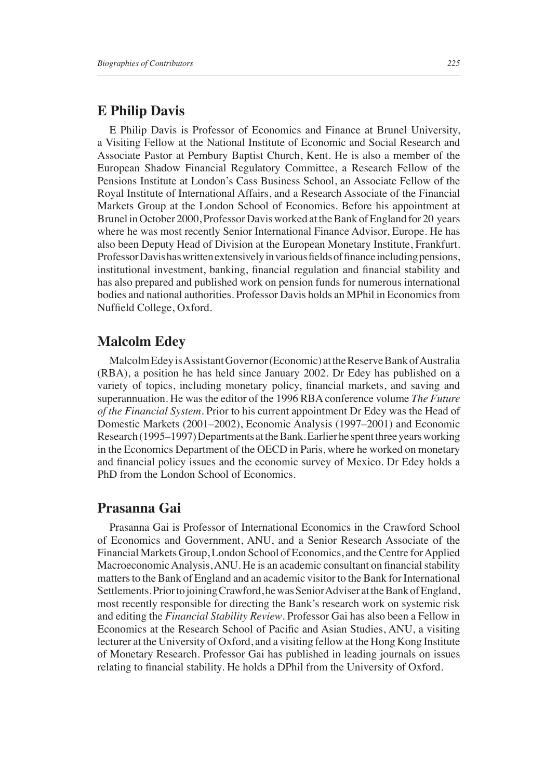### **E Philip Davis**

E Philip Davis is Professor of Economics and Finance at Brunel University, a Visiting Fellow at the National Institute of Economic and Social Research and Associate Pastor at Pembury Baptist Church, Kent. He is also a member of the European Shadow Financial Regulatory Committee, a Research Fellow of the Pensions Institute at London's Cass Business School, an Associate Fellow of the Royal Institute of International Affairs, and a Research Associate of the Financial Markets Group at the London School of Economics. Before his appointment at Brunel in October 2000, Professor Davis worked at the Bank of England for 20 years where he was most recently Senior International Finance Advisor, Europe. He has also been Deputy Head of Division at the European Monetary Institute, Frankfurt. Professor Davis has written extensively in various fields of finance including pensions, institutional investment, banking, financial regulation and financial stability and has also prepared and published work on pension funds for numerous international bodies and national authorities. Professor Davis holds an MPhil in Economics from Nuffield College, Oxford.

## **Malcolm Edey**

Malcolm Edey is Assistant Governor (Economic) at the Reserve Bank of Australia (RBA), a position he has held since January 2002. Dr Edey has published on a variety of topics, including monetary policy, financial markets, and saving and superannuation. He was the editor of the 1996 RBA conference volume *The Future of the Financial System*. Prior to his current appointment Dr Edey was the Head of Domestic Markets (2001–2002), Economic Analysis (1997–2001) and Economic Research (1995–1997) Departments at the Bank. Earlier he spent three years working in the Economics Department of the OECD in Paris, where he worked on monetary and financial policy issues and the economic survey of Mexico. Dr Edey holds a PhD from the London School of Economics.

#### **Prasanna Gai**

Prasanna Gai is Professor of International Economics in the Crawford School of Economics and Government, ANU, and a Senior Research Associate of the Financial Markets Group, London School of Economics, and the Centre for Applied Macroeconomic Analysis, ANU. He is an academic consultant on financial stability matters to the Bank of England and an academic visitor to the Bank for International Settlements. Prior to joining Crawford, he was Senior Adviser at the Bank of England, most recently responsible for directing the Bank's research work on systemic risk and editing the *Financial Stability Review*. Professor Gai has also been a Fellow in Economics at the Research School of Pacific and Asian Studies, ANU, a visiting lecturer at the University of Oxford, and a visiting fellow at the Hong Kong Institute of Monetary Research. Professor Gai has published in leading journals on issues relating to financial stability. He holds a DPhil from the University of Oxford.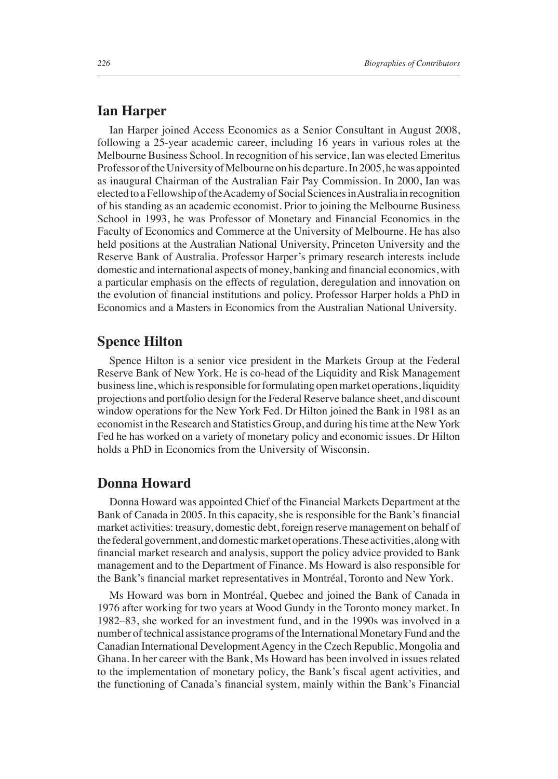### **Ian Harper**

Ian Harper joined Access Economics as a Senior Consultant in August 2008, following a 25-year academic career, including 16 years in various roles at the Melbourne Business School. In recognition of his service, Ian was elected Emeritus Professor of the University of Melbourne on his departure. In 2005, he was appointed as inaugural Chairman of the Australian Fair Pay Commission. In 2000, Ian was elected to a Fellowship of the Academy of Social Sciences in Australia in recognition of his standing as an academic economist. Prior to joining the Melbourne Business School in 1993, he was Professor of Monetary and Financial Economics in the Faculty of Economics and Commerce at the University of Melbourne. He has also held positions at the Australian National University, Princeton University and the Reserve Bank of Australia. Professor Harper's primary research interests include domestic and international aspects of money, banking and financial economics, with a particular emphasis on the effects of regulation, deregulation and innovation on the evolution of financial institutions and policy. Professor Harper holds a PhD in Economics and a Masters in Economics from the Australian National University.

## **Spence Hilton**

Spence Hilton is a senior vice president in the Markets Group at the Federal Reserve Bank of New York. He is co-head of the Liquidity and Risk Management business line, which is responsible for formulating open market operations, liquidity projections and portfolio design for the Federal Reserve balance sheet, and discount window operations for the New York Fed. Dr Hilton joined the Bank in 1981 as an economist in the Research and Statistics Group, and during his time at the New York Fed he has worked on a variety of monetary policy and economic issues. Dr Hilton holds a PhD in Economics from the University of Wisconsin.

### **Donna Howard**

Donna Howard was appointed Chief of the Financial Markets Department at the Bank of Canada in 2005. In this capacity, she is responsible for the Bank's financial market activities: treasury, domestic debt, foreign reserve management on behalf of the federal government, and domestic market operations. These activities, along with financial market research and analysis, support the policy advice provided to Bank management and to the Department of Finance. Ms Howard is also responsible for the Bank's financial market representatives in Montréal, Toronto and New York.

Ms Howard was born in Montréal, Quebec and joined the Bank of Canada in 1976 after working for two years at Wood Gundy in the Toronto money market. In 1982–83, she worked for an investment fund, and in the 1990s was involved in a number of technical assistance programs of the International Monetary Fund and the Canadian International Development Agency in the Czech Republic, Mongolia and Ghana. In her career with the Bank, Ms Howard has been involved in issues related to the implementation of monetary policy, the Bank's fiscal agent activities, and the functioning of Canada's financial system, mainly within the Bank's Financial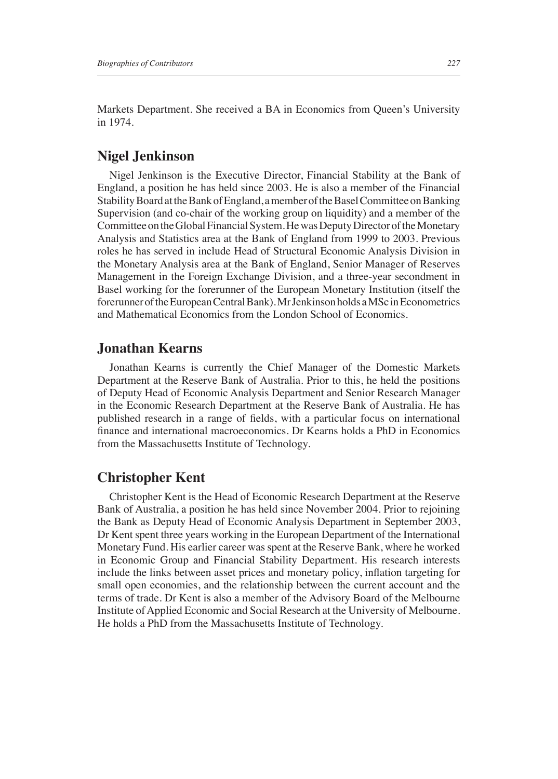Markets Department. She received a BA in Economics from Queen's University in 1974.

### **Nigel Jenkinson**

Nigel Jenkinson is the Executive Director, Financial Stability at the Bank of England, a position he has held since 2003. He is also a member of the Financial Stability Board at the Bank of England, a member of the Basel Committee on Banking Supervision (and co-chair of the working group on liquidity) and a member of the Committee on the Global Financial System. He was Deputy Director of the Monetary Analysis and Statistics area at the Bank of England from 1999 to 2003. Previous roles he has served in include Head of Structural Economic Analysis Division in the Monetary Analysis area at the Bank of England, Senior Manager of Reserves Management in the Foreign Exchange Division, and a three-year secondment in Basel working for the forerunner of the European Monetary Institution (itself the forerunner of the European Central Bank). Mr Jenkinson holds a MSc in Econometrics and Mathematical Economics from the London School of Economics.

#### **Jonathan Kearns**

Jonathan Kearns is currently the Chief Manager of the Domestic Markets Department at the Reserve Bank of Australia. Prior to this, he held the positions of Deputy Head of Economic Analysis Department and Senior Research Manager in the Economic Research Department at the Reserve Bank of Australia. He has published research in a range of fields, with a particular focus on international finance and international macroeconomics. Dr Kearns holds a PhD in Economics from the Massachusetts Institute of Technology.

#### **Christopher Kent**

Christopher Kent is the Head of Economic Research Department at the Reserve Bank of Australia, a position he has held since November 2004. Prior to rejoining the Bank as Deputy Head of Economic Analysis Department in September 2003, Dr Kent spent three years working in the European Department of the International Monetary Fund. His earlier career was spent at the Reserve Bank, where he worked in Economic Group and Financial Stability Department. His research interests include the links between asset prices and monetary policy, inflation targeting for small open economies, and the relationship between the current account and the terms of trade. Dr Kent is also a member of the Advisory Board of the Melbourne Institute of Applied Economic and Social Research at the University of Melbourne. He holds a PhD from the Massachusetts Institute of Technology.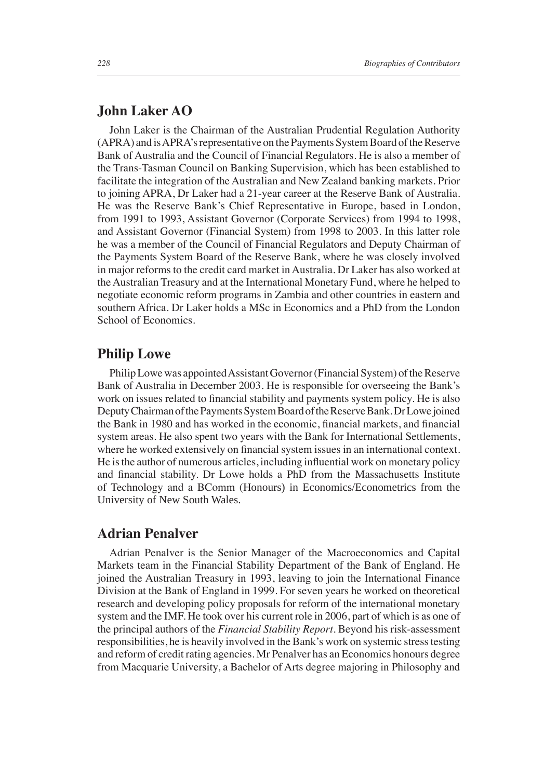### **John Laker AO**

John Laker is the Chairman of the Australian Prudential Regulation Authority (APRA) and is APRA's representative on the Payments System Board of the Reserve Bank of Australia and the Council of Financial Regulators. He is also a member of the Trans-Tasman Council on Banking Supervision, which has been established to facilitate the integration of the Australian and New Zealand banking markets. Prior to joining APRA, Dr Laker had a 21-year career at the Reserve Bank of Australia. He was the Reserve Bank's Chief Representative in Europe, based in London, from 1991 to 1993, Assistant Governor (Corporate Services) from 1994 to 1998, and Assistant Governor (Financial System) from 1998 to 2003. In this latter role he was a member of the Council of Financial Regulators and Deputy Chairman of the Payments System Board of the Reserve Bank, where he was closely involved in major reforms to the credit card market in Australia. Dr Laker has also worked at the Australian Treasury and at the International Monetary Fund, where he helped to negotiate economic reform programs in Zambia and other countries in eastern and southern Africa. Dr Laker holds a MSc in Economics and a PhD from the London School of Economics.

### **Philip Lowe**

Philip Lowe was appointed Assistant Governor (Financial System) of the Reserve Bank of Australia in December 2003. He is responsible for overseeing the Bank's work on issues related to financial stability and payments system policy. He is also Deputy Chairman of the Payments System Board of the Reserve Bank. Dr Lowe joined the Bank in 1980 and has worked in the economic, financial markets, and financial system areas. He also spent two years with the Bank for International Settlements, where he worked extensively on financial system issues in an international context. He is the author of numerous articles, including influential work on monetary policy and financial stability. Dr Lowe holds a PhD from the Massachusetts Institute of Technology and a BComm (Honours) in Economics/Econometrics from the University of New South Wales.

### **Adrian Penalver**

Adrian Penalver is the Senior Manager of the Macroeconomics and Capital Markets team in the Financial Stability Department of the Bank of England. He joined the Australian Treasury in 1993, leaving to join the International Finance Division at the Bank of England in 1999. For seven years he worked on theoretical research and developing policy proposals for reform of the international monetary system and the IMF. He took over his current role in 2006, part of which is as one of the principal authors of the *Financial Stability Report*. Beyond his risk-assessment responsibilities, he is heavily involved in the Bank's work on systemic stress testing and reform of credit rating agencies. Mr Penalver has an Economics honours degree from Macquarie University, a Bachelor of Arts degree majoring in Philosophy and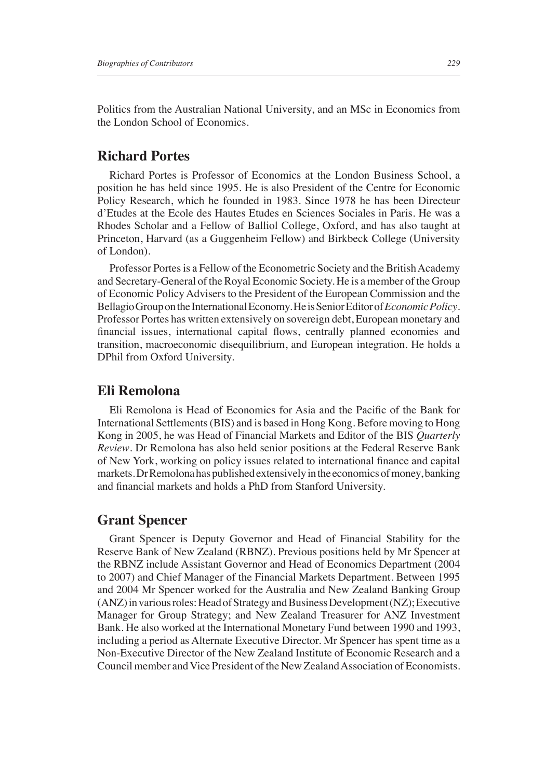Politics from the Australian National University, and an MSc in Economics from the London School of Economics.

## **Richard Portes**

Richard Portes is Professor of Economics at the London Business School, a position he has held since 1995. He is also President of the Centre for Economic Policy Research, which he founded in 1983. Since 1978 he has been Directeur d'Etudes at the Ecole des Hautes Etudes en Sciences Sociales in Paris. He was a Rhodes Scholar and a Fellow of Balliol College, Oxford, and has also taught at Princeton, Harvard (as a Guggenheim Fellow) and Birkbeck College (University of London).

Professor Portes is a Fellow of the Econometric Society and the British Academy and Secretary-General of the Royal Economic Society. He is a member of the Group of Economic Policy Advisers to the President of the European Commission and the Bellagio Group on the International Economy. He is Senior Editor of *Economic Policy*. Professor Portes has written extensively on sovereign debt, European monetary and financial issues, international capital flows, centrally planned economies and transition, macroeconomic disequilibrium, and European integration. He holds a DPhil from Oxford University.

#### **Eli Remolona**

Eli Remolona is Head of Economics for Asia and the Pacific of the Bank for International Settlements (BIS) and is based in Hong Kong. Before moving to Hong Kong in 2005, he was Head of Financial Markets and Editor of the BIS *Quarterly Review*. Dr Remolona has also held senior positions at the Federal Reserve Bank of New York, working on policy issues related to international finance and capital markets. Dr Remolona has published extensively in the economics of money, banking and financial markets and holds a PhD from Stanford University.

### **Grant Spencer**

Grant Spencer is Deputy Governor and Head of Financial Stability for the Reserve Bank of New Zealand (RBNZ). Previous positions held by Mr Spencer at the RBNZ include Assistant Governor and Head of Economics Department (2004 to 2007) and Chief Manager of the Financial Markets Department. Between 1995 and 2004 Mr Spencer worked for the Australia and New Zealand Banking Group (ANZ) in various roles: Head of Strategy and Business Development (NZ); Executive Manager for Group Strategy; and New Zealand Treasurer for ANZ Investment Bank. He also worked at the International Monetary Fund between 1990 and 1993, including a period as Alternate Executive Director. Mr Spencer has spent time as a Non-Executive Director of the New Zealand Institute of Economic Research and a Council member and Vice President of the New Zealand Association of Economists.